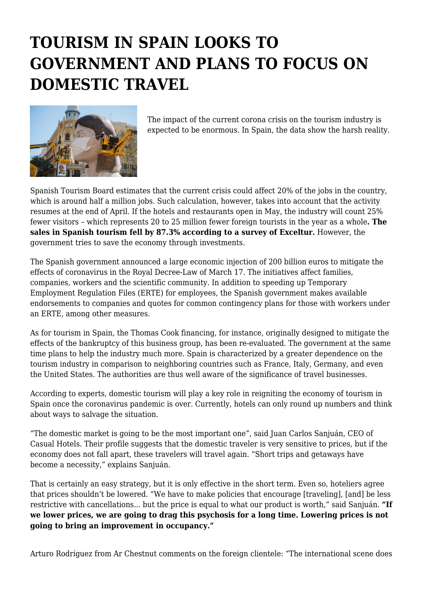## **TOURISM IN SPAIN LOOKS TO GOVERNMENT AND PLANS TO FOCUS ON DOMESTIC TRAVEL**



The impact of the current corona crisis on the tourism industry is expected to be enormous. In Spain, the data show the harsh reality.

Spanish Tourism Board estimates that the current crisis could affect 20% of the jobs in the country, which is around half a million jobs. Such calculation, however, takes into account that the activity resumes at the end of April. If the hotels and restaurants open in May, the industry will count 25% fewer visitors – which represents 20 to 25 million fewer foreign tourists in the year as a whole**. The sales in Spanish tourism fell by 87.3% according to a survey of Exceltur.** However, the government tries to save the economy through investments.

The Spanish government announced a large economic injection of 200 billion euros to mitigate the effects of coronavirus in the Royal Decree-Law of March 17. The initiatives affect families, companies, workers and the scientific community. In addition to speeding up Temporary Employment Regulation Files (ERTE) for employees, the Spanish government makes available endorsements to companies and quotes for common contingency plans for those with workers under an ERTE, among other measures.

As for tourism in Spain, the Thomas Cook financing, for instance, originally designed to mitigate the effects of the bankruptcy of this business group, has been re-evaluated. The government at the same time plans to help the industry much more. Spain is characterized by a greater dependence on the tourism industry in comparison to neighboring countries such as France, Italy, Germany, and even the United States. The authorities are thus well aware of the significance of travel businesses.

According to experts, domestic tourism will play a key role in reigniting the economy of tourism in Spain once the coronavirus pandemic is over. Currently, hotels can only round up numbers and think about ways to salvage the situation.

"The domestic market is going to be the most important one", said Juan Carlos Sanjuán, CEO of Casual Hotels. Their profile suggests that the domestic traveler is very sensitive to prices, but if the economy does not fall apart, these travelers will travel again. "Short trips and getaways have become a necessity," explains Sanjuán.

That is certainly an easy strategy, but it is only effective in the short term. Even so, hoteliers agree that prices shouldn't be lowered. "We have to make policies that encourage [traveling], [and] be less restrictive with cancellations... but the price is equal to what our product is worth," said Sanjuán. **"If we lower prices, we are going to drag this psychosis for a long time. Lowering prices is not going to bring an improvement in occupancy."**

Arturo Rodríguez from Ar Chestnut comments on the foreign clientele: "The international scene does